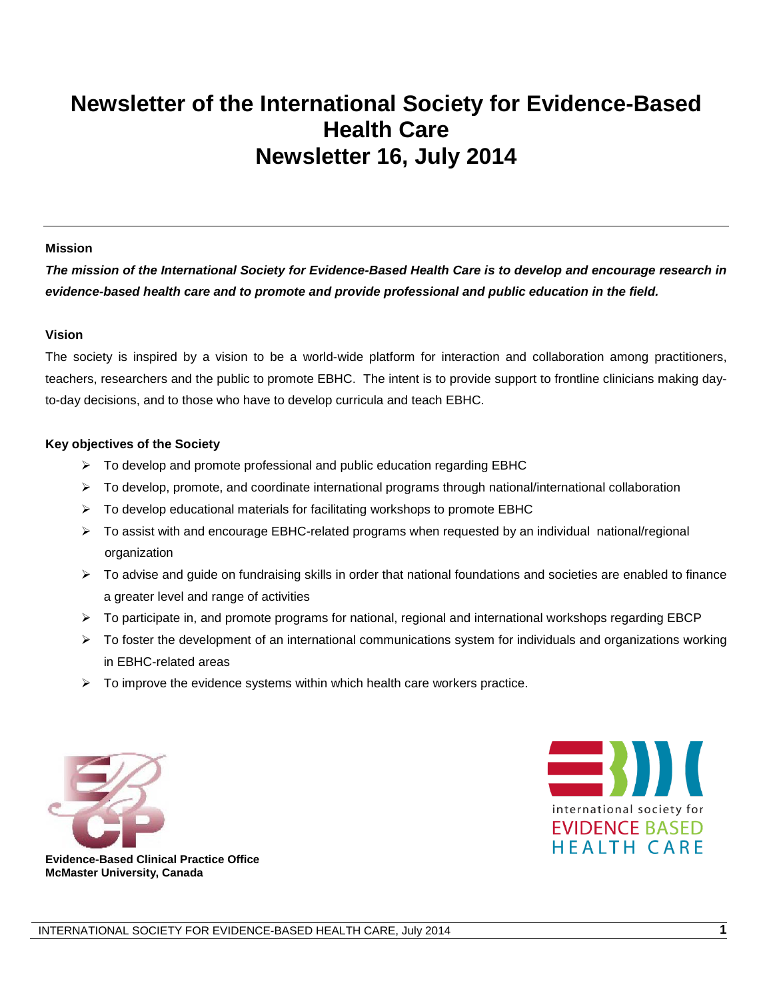# **Newsletter of the International Society for Evidence-Based Health Care Newsletter 16, July 2014**

#### **Mission**

*The mission of the International Society for Evidence-Based Health Care is to develop and encourage research in evidence-based health care and to promote and provide professional and public education in the field.*

#### **Vision**

The society is inspired by a vision to be a world-wide platform for interaction and collaboration among practitioners, teachers, researchers and the public to promote EBHC. The intent is to provide support to frontline clinicians making dayto-day decisions, and to those who have to develop curricula and teach EBHC.

#### **Key objectives of the Society**

- $\triangleright$  To develop and promote professional and public education regarding EBHC
- $\triangleright$  To develop, promote, and coordinate international programs through national/international collaboration
- $\triangleright$  To develop educational materials for facilitating workshops to promote EBHC
- To assist with and encourage EBHC-related programs when requested by an individual national/regional organization
- $\triangleright$  To advise and guide on fundraising skills in order that national foundations and societies are enabled to finance a greater level and range of activities
- $\triangleright$  To participate in, and promote programs for national, regional and international workshops regarding EBCP
- $\triangleright$  To foster the development of an international communications system for individuals and organizations working in EBHC-related areas
- $\triangleright$  To improve the evidence systems within which health care workers practice.





**Evidence-Based Clinical Practice Office McMaster University, Canada**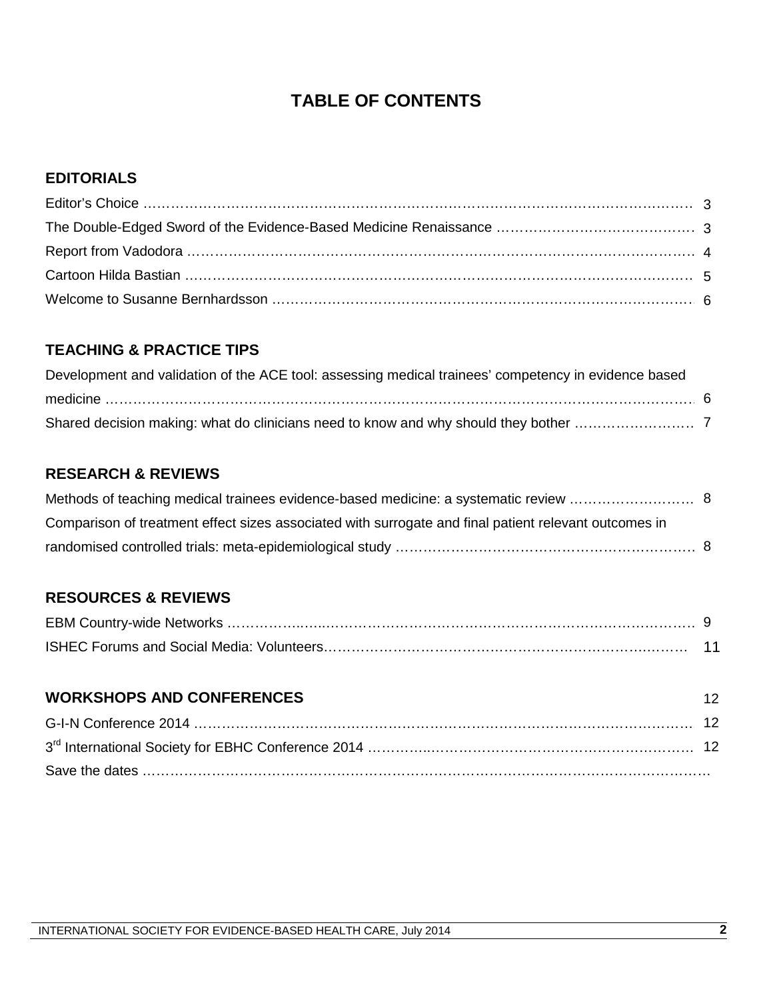## **TABLE OF CONTENTS**

#### **EDITORIALS**

### **TEACHING & PRACTICE TIPS**

| Development and validation of the ACE tool: assessing medical trainees' competency in evidence based |  |
|------------------------------------------------------------------------------------------------------|--|
|                                                                                                      |  |
|                                                                                                      |  |

### **RESEARCH & REVIEWS**

| Comparison of treatment effect sizes associated with surrogate and final patient relevant outcomes in |  |
|-------------------------------------------------------------------------------------------------------|--|
|                                                                                                       |  |

### **RESOURCES & REVIEWS**

| <b>WORKSHOPS AND CONFERENCES</b> | 12 <sup>°</sup> |
|----------------------------------|-----------------|
|                                  |                 |
|                                  |                 |
|                                  |                 |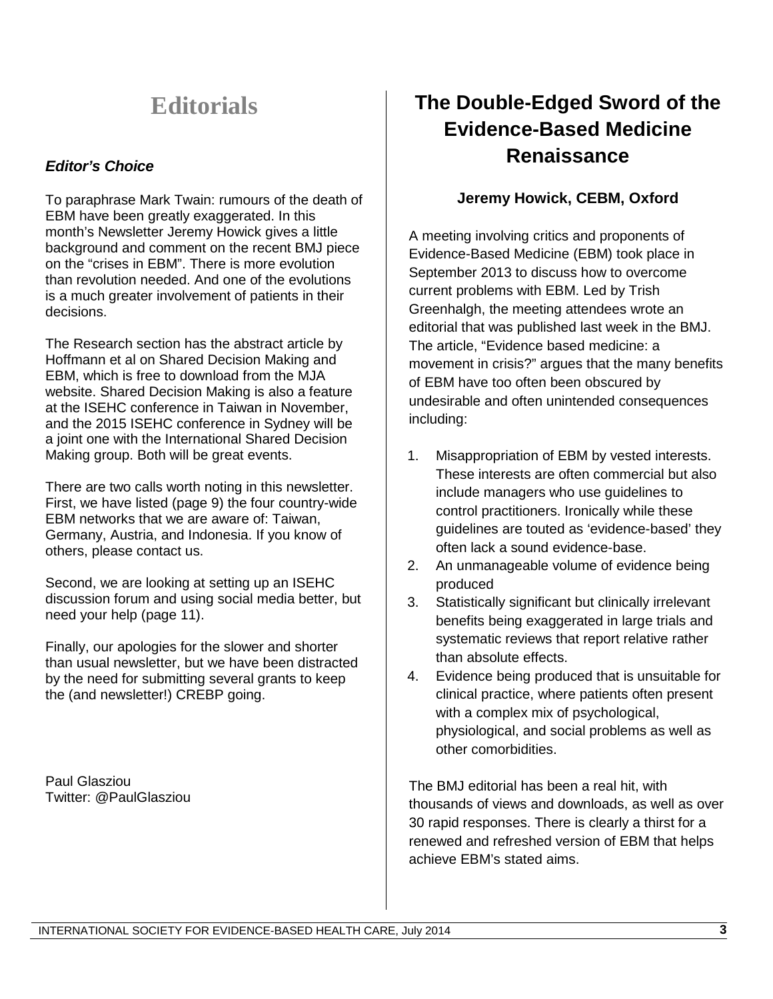# **Editorials**

### *Editor's Choice*

To paraphrase Mark Twain: rumours of the death of EBM have been greatly exaggerated. In this month's Newsletter Jeremy Howick gives a little background and comment on the recent BMJ piece on the "crises in EBM". There is more evolution than revolution needed. And one of the evolutions is a much greater involvement of patients in their decisions.

The Research section has the abstract article by Hoffmann et al on Shared Decision Making and EBM, which is free to download from the MJA website. Shared Decision Making is also a feature at the ISEHC conference in Taiwan in November, and the 2015 ISEHC conference in Sydney will be a joint one with the International Shared Decision Making group. Both will be great events.

There are two calls worth noting in this newsletter. First, we have listed (page 9) the four country-wide EBM networks that we are aware of: Taiwan, Germany, Austria, and Indonesia. If you know of others, please contact us.

Second, we are looking at setting up an ISEHC discussion forum and using social media better, but need your help (page 11).

Finally, our apologies for the slower and shorter than usual newsletter, but we have been distracted by the need for submitting several grants to keep the (and newsletter!) CREBP going.

Paul Glasziou Twitter: @PaulGlasziou

## **The Double-Edged Sword of the Evidence-Based Medicine Renaissance**

### **Jeremy Howick, CEBM, Oxford**

A [meeting](http://cebmlearning.org/2014/01/21/rethinking-evidence-based-medicine-from-rubbish-to-real/) involving critics and proponents of Evidence-Based Medicine (EBM) took place in September 2013 to discuss how to overcome current problems with EBM. Led by Trish Greenhalgh, the meeting attendees wrote an editorial that was published last week in the BMJ. The article, ["Evidence based medicine: a](http://www.bmj.com/content/348/bmj.g3725)  [movement in crisis?"](http://www.bmj.com/content/348/bmj.g3725) argues that the many benefits of EBM have too often been obscured by undesirable and often unintended consequences including:

- 1. [Misappropriation of EBM by vested interests.](http://www.ncbi.nlm.nih.gov/pubmed/24819404) These interests are often commercial but also include managers who use guidelines to control practitioners. Ironically while these [guidelines are touted as 'evidence-based' they](http://www.ncbi.nlm.nih.gov/pubmed/24922406)  [often lack a sound evidence-base.](http://www.ncbi.nlm.nih.gov/pubmed/24922406)
- 2. An unmanageable volume of evidence being produced
- 3. Statistically significant but clinically irrelevant [benefits being exaggerated in large trials and](http://onlinelibrary.wiley.com/enhanced/doi/10.1111/j.1365-2753.2011.01740.x/?isReportingDone=true)  [systematic reviews that report relative rather](http://onlinelibrary.wiley.com/enhanced/doi/10.1111/j.1365-2753.2011.01740.x/?isReportingDone=true)  [than absolute effects.](http://onlinelibrary.wiley.com/enhanced/doi/10.1111/j.1365-2753.2011.01740.x/?isReportingDone=true)
- 4. Evidence being produced that is unsuitable for clinical practice, where patients often present with a complex mix of psychological, physiological, and social problems as well as other comorbidities.

The BMJ editorial has been a real hit, with thousands of views and downloads, as well as over 30 rapid responses. There is clearly a thirst for a renewed and refreshed version of EBM that helps achieve EBM's stated aims.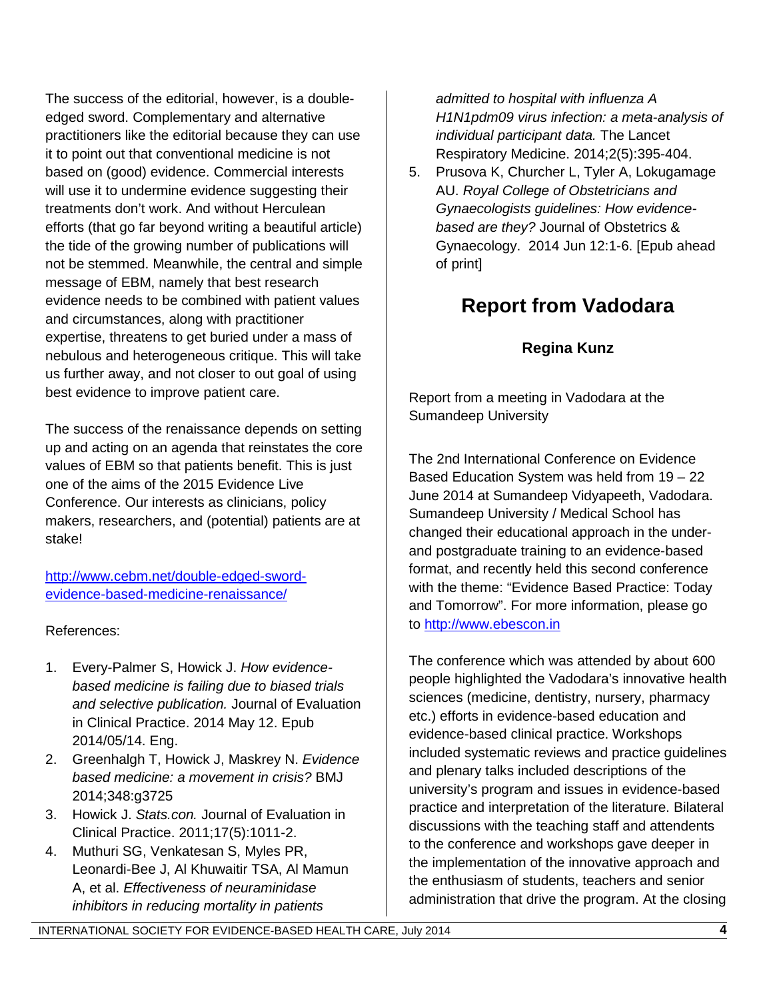The success of the editorial, however, is a doubleedged sword. Complementary and alternative practitioners like the editorial because they can use it to point out that conventional medicine is not based on (good) evidence. Commercial interests will use it to undermine evidence suggesting their [treatments don't work.](http://www.thelancet.com/journals/lanres/article/PIIS2213-2600%2814%2970041-4/abstract) And without Herculean efforts (that go far beyond writing a beautiful article) the tide of the growing number of publications will not be stemmed. Meanwhile, the central and simple message of EBM, namely that best research evidence needs to be combined with patient values and circumstances, along with practitioner expertise, threatens to get buried under a mass of nebulous and heterogeneous critique. This will take us further away, and not closer to out goal of using best evidence to improve patient care.

The success of the renaissance depends on setting up and acting on an agenda that reinstates the core values of EBM so that patients benefit. This is just one of the aims of the [2015 Evidence Live](http://www.cebm.net/evidence-live/)  [Conference.](http://www.cebm.net/evidence-live/) Our interests as clinicians, policy makers, researchers, and (potential) patients are at stake!

[http://www.cebm.net/double-edged-sword](http://www.cebm.net/double-edged-sword-evidence-based-medicine-renaissance/)[evidence-based-medicine-renaissance/](http://www.cebm.net/double-edged-sword-evidence-based-medicine-renaissance/)

References:

- 1. Every-Palmer S, Howick J. *How evidencebased medicine is failing due to biased trials and selective publication.* Journal of Evaluation in Clinical Practice. 2014 May 12. Epub 2014/05/14. Eng.
- 2. Greenhalgh T, Howick J, Maskrey N. *Evidence based medicine: a movement in crisis?* BMJ 2014;348:g3725
- 3. Howick J. *Stats.con.* Journal of Evaluation in Clinical Practice. 2011;17(5):1011-2.
- 4. Muthuri SG, Venkatesan S, Myles PR, Leonardi-Bee J, Al Khuwaitir TSA, Al Mamun A, et al. *Effectiveness of neuraminidase inhibitors in reducing mortality in patients*

*admitted to hospital with influenza A H1N1pdm09 virus infection: a meta-analysis of individual participant data.* The Lancet Respiratory Medicine. 2014;2(5):395-404.

5. Prusova K, Churcher L, Tyler A, Lokugamage AU. *Royal College of Obstetricians and Gynaecologists guidelines: How evidencebased are they?* Journal of Obstetrics & Gynaecology. 2014 Jun 12:1-6. [Epub ahead of print]

# **Report from Vadodara**

## **Regina Kunz**

Report from a meeting in Vadodara at the Sumandeep University

The 2nd International Conference on Evidence Based Education System was held from 19 – 22 June 2014 at Sumandeep Vidyapeeth, Vadodara. Sumandeep University / Medical School has changed their educational approach in the underand postgraduate training to an evidence-based format, and recently held this second conference with the theme: "Evidence Based Practice: Today and Tomorrow". For more information, please go to [http://www.ebescon.in](http://www.ebescon.in/)

The conference which was attended by about 600 people highlighted the Vadodara's innovative health sciences (medicine, dentistry, nursery, pharmacy etc.) efforts in evidence-based education and evidence-based clinical practice. Workshops included systematic reviews and practice guidelines and plenary talks included descriptions of the university's program and issues in evidence-based practice and interpretation of the literature. Bilateral discussions with the teaching staff and attendents to the conference and workshops gave deeper in the implementation of the innovative approach and the enthusiasm of students, teachers and senior administration that drive the program. At the closing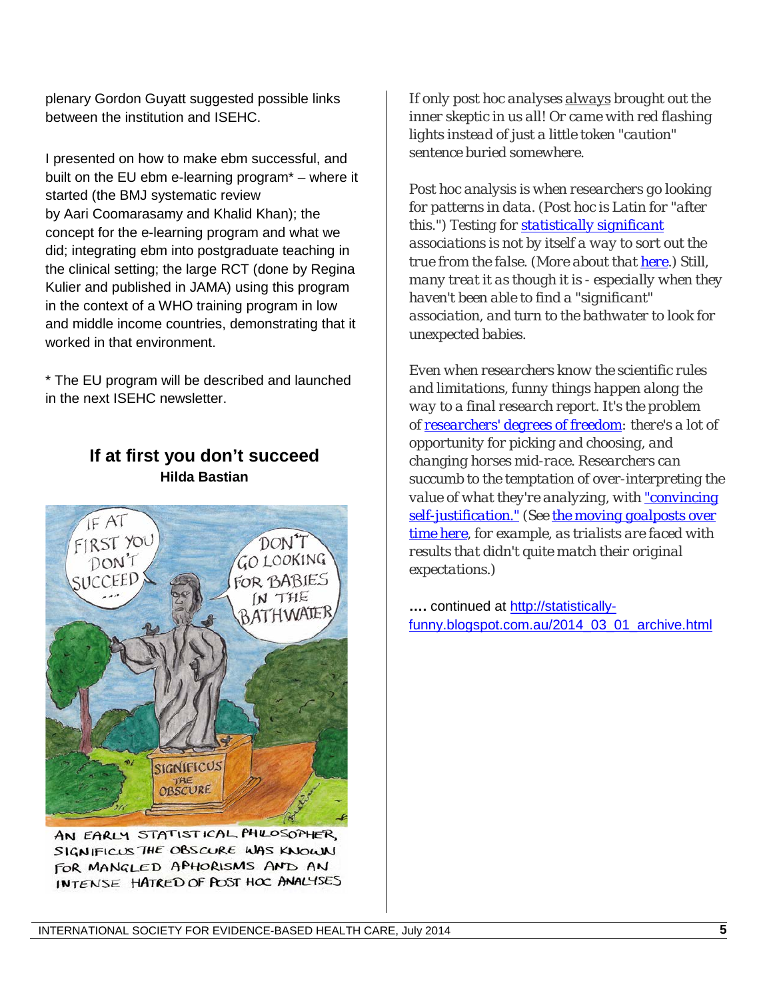plenary Gordon Guyatt suggested possible links between the institution and ISEHC.

I presented on how to make ebm successful, and built on the EU ebm e-learning program\* – where it started (the BMJ systematic review by Aari Coomarasamy and Khalid Khan); the concept for the e-learning program and what we did; integrating ebm into postgraduate teaching in the clinical setting; the large RCT (done by Regina Kulier and published in JAMA) using this program in the context of a WHO training program in low and middle income countries, demonstrating that it worked in that environment.

\* The EU program will be described and launched in the next ISEHC newsletter.





AN EARLY STATISTICAL PHILOSOPHER, SIGNIFICUS THE OBSCURE WAS KNOWN FOR MANGLED APHORISMS AND AN INTENSE HATRED OF POST HOC ANALYSES

*If only post hoc analyses always brought out the inner skeptic in us all! Or came with red flashing lights instead of just a little token "caution" sentence buried somewhere.*

*Post hoc analysis is when researchers go looking for patterns in data. (Post hoc is Latin for "after this.") Testing for [statistically significant](http://statistically-funny.blogspot.com/2013/03/nervously-approaching-significance.html) associations is not by itself a way to sort out the true from the false. (More about that [here.](http://blogs.scientificamerican.com/absolutely-maybe/2013/11/11/statistical-significance-and-its-part-in-science-downfalls/)) Still, many treat it as though it is - especially when they haven't been able to find a "significant" association, and turn to the bathwater to look for unexpected babies.*

*Even when researchers know the scientific rules and limitations, funny things happen along the way to a final research report. It's the problem of [researchers' degrees of freedom:](http://www.ncbi.nlm.nih.gov/pubmed/22006061) there's a lot of opportunity for picking and choosing, and changing horses mid-race. Researchers can succumb to the temptation of over-interpreting the value of what they're analyzing, with ["convincing](http://www.ncbi.nlm.nih.gov/pubmed/22006061)  [self-justification."](http://www.ncbi.nlm.nih.gov/pubmed/22006061) (See [the moving goalposts over](http://www.ncbi.nlm.nih.gov/pubmed/24417410#cm24417410_2269)  [time here,](http://www.ncbi.nlm.nih.gov/pubmed/24417410#cm24417410_2269) for example, as trialists are faced with results that didn't quite match their original expectations.)*

**….** continued at [http://statistically](http://statistically-funny.blogspot.com.au/2014_03_01_archive.html)[funny.blogspot.com.au/2014\\_03\\_01\\_archive.html](http://statistically-funny.blogspot.com.au/2014_03_01_archive.html)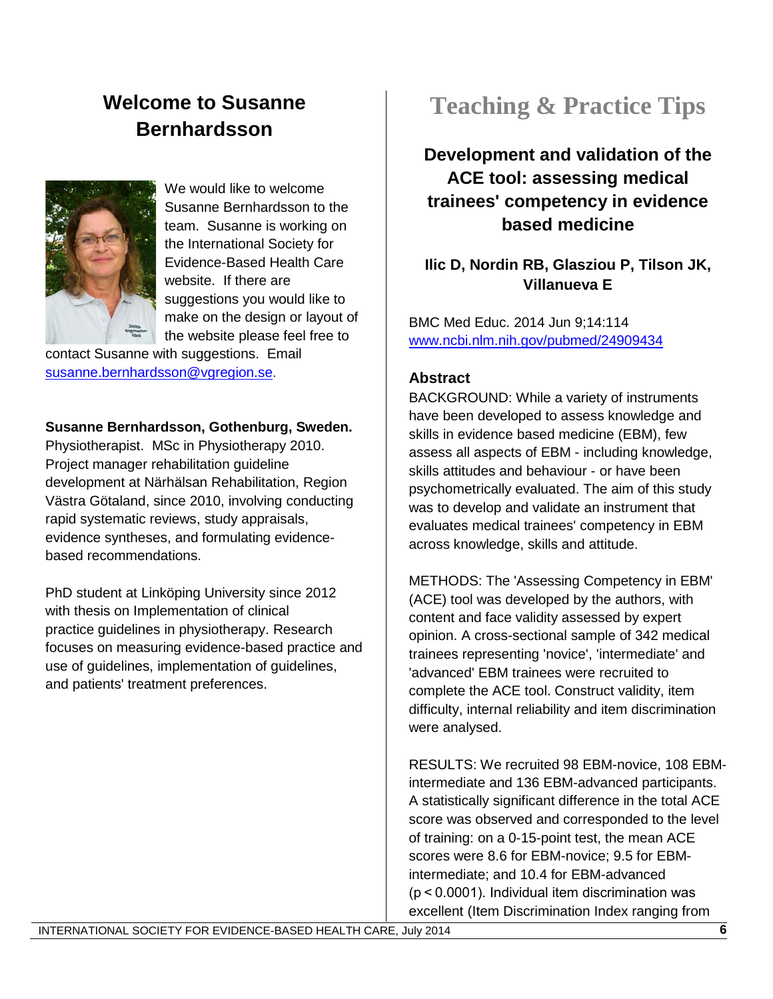# **Welcome to Susanne Bernhardsson**



We would like to welcome Susanne Bernhardsson to the team. Susanne is working on the International Society for Evidence-Based Health Care website. If there are suggestions you would like to make on the design or layout of the website please feel free to

contact Susanne with suggestions. Email [susanne.bernhardsson@vgregion.se.](mailto:susanne.bernhardsson@vgregion.se)

#### **Susanne Bernhardsson, Gothenburg, Sweden.**

Physiotherapist. MSc in Physiotherapy 2010. Project manager rehabilitation guideline development at Närhälsan Rehabilitation, Region Västra Götaland, since 2010, involving conducting rapid systematic reviews, study appraisals, evidence syntheses, and formulating evidencebased recommendations.

PhD student at Linköping University since 2012 with thesis on Implementation of clinical practice guidelines in physiotherapy. Research focuses on measuring evidence-based practice and use of guidelines, implementation of guidelines, and patients' treatment preferences.

# **Teaching & Practice Tips**

**Development and validation of the ACE tool: assessing medical trainees' competency in evidence based medicine**

**Ilic D, Nordin RB, Glasziou P, Tilson JK, Villanueva E**

BMC Med Educ. 2014 Jun 9;14:114 [www.ncbi.nlm.nih.gov/pubmed/24909434](http://www.ncbi.nlm.nih.gov/pubmed/24909434)

#### **Abstract**

BACKGROUND: While a variety of instruments have been developed to assess knowledge and skills in evidence based medicine (EBM), few assess all aspects of EBM - including knowledge, skills attitudes and behaviour - or have been psychometrically evaluated. The aim of this study was to develop and validate an instrument that evaluates medical trainees' competency in EBM across knowledge, skills and attitude.

METHODS: The 'Assessing Competency in EBM' (ACE) tool was developed by the authors, with content and face validity assessed by expert opinion. A cross-sectional sample of 342 medical trainees representing 'novice', 'intermediate' and 'advanced' EBM trainees were recruited to complete the ACE tool. Construct validity, item difficulty, internal reliability and item discrimination were analysed.

RESULTS: We recruited 98 EBM-novice, 108 EBMintermediate and 136 EBM-advanced participants. A statistically significant difference in the total ACE score was observed and corresponded to the level of training: on a 0-15-point test, the mean ACE scores were 8.6 for EBM-novice; 9.5 for EBMintermediate; and 10.4 for EBM-advanced (p < 0.0001). Individual item discrimination was excellent (Item Discrimination Index ranging from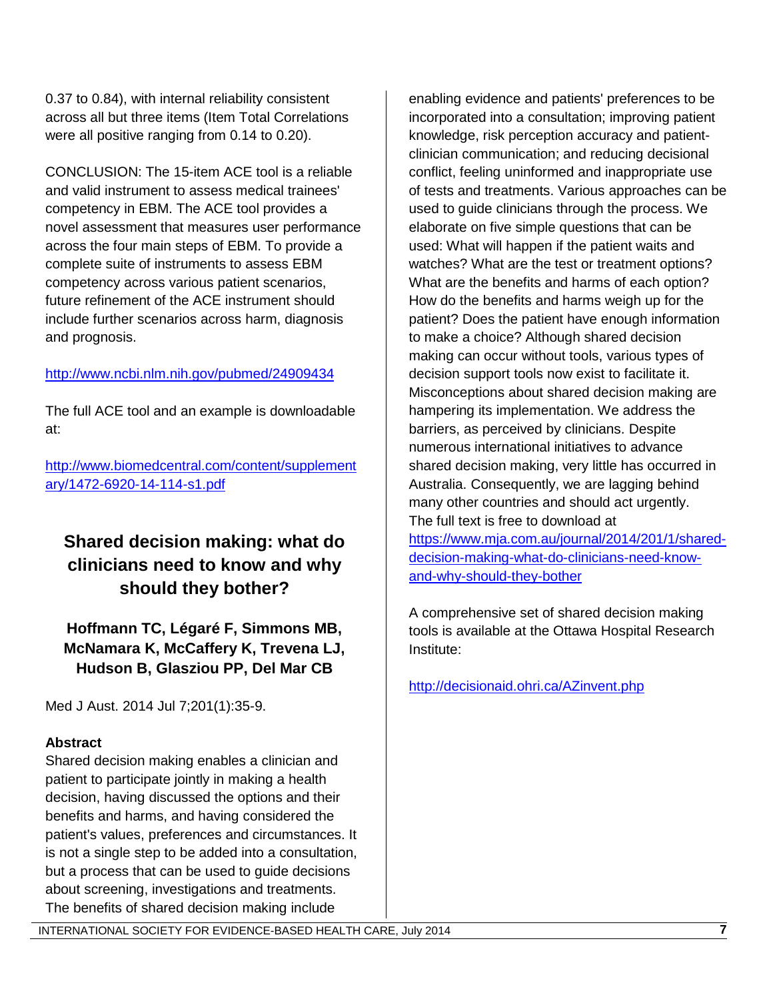0.37 to 0.84), with internal reliability consistent across all but three items (Item Total Correlations were all positive ranging from 0.14 to 0.20).

CONCLUSION: The 15-item ACE tool is a reliable and valid instrument to assess medical trainees' competency in EBM. The ACE tool provides a novel assessment that measures user performance across the four main steps of EBM. To provide a complete suite of instruments to assess EBM competency across various patient scenarios, future refinement of the ACE instrument should include further scenarios across harm, diagnosis and prognosis.

#### <http://www.ncbi.nlm.nih.gov/pubmed/24909434>

The full ACE tool and an example is downloadable at:

[http://www.biomedcentral.com/content/supplement](http://www.biomedcentral.com/content/supplementary/1472-6920-14-114-s1.pdf) [ary/1472-6920-14-114-s1.pdf](http://www.biomedcentral.com/content/supplementary/1472-6920-14-114-s1.pdf)

## **Shared decision making: what do clinicians need to know and why should they bother?**

**Hoffmann TC, Légaré F, Simmons MB, McNamara K, McCaffery K, Trevena LJ, Hudson B, Glasziou PP, Del Mar CB**

Med J Aust. 2014 Jul 7;201(1):35-9.

### **Abstract**

Shared decision making enables a clinician and patient to participate jointly in making a health decision, having discussed the options and their benefits and harms, and having considered the patient's values, preferences and circumstances. It is not a single step to be added into a consultation, but a process that can be used to guide decisions about screening, investigations and treatments. The benefits of shared decision making include

enabling evidence and patients' preferences to be incorporated into a consultation; improving patient knowledge, risk perception accuracy and patientclinician communication; and reducing decisional conflict, feeling uninformed and inappropriate use of tests and treatments. Various approaches can be used to guide clinicians through the process. We elaborate on five simple questions that can be used: What will happen if the patient waits and watches? What are the test or treatment options? What are the benefits and harms of each option? How do the benefits and harms weigh up for the patient? Does the patient have enough information to make a choice? Although shared decision making can occur without tools, various types of decision support tools now exist to facilitate it. Misconceptions about shared decision making are hampering its implementation. We address the barriers, as perceived by clinicians. Despite numerous international initiatives to advance shared decision making, very little has occurred in Australia. Consequently, we are lagging behind many other countries and should act urgently. The full text is free to download at [https://www.mja.com.au/journal/2014/201/1/shared](https://www.mja.com.au/journal/2014/201/1/shared-decision-making-what-do-clinicians-need-know-and-why-should-they-bother)[decision-making-what-do-clinicians-need-know](https://www.mja.com.au/journal/2014/201/1/shared-decision-making-what-do-clinicians-need-know-and-why-should-they-bother)[and-why-should-they-bother](https://www.mja.com.au/journal/2014/201/1/shared-decision-making-what-do-clinicians-need-know-and-why-should-they-bother)

A comprehensive set of shared decision making tools is available at the Ottawa Hospital Research Institute:

<http://decisionaid.ohri.ca/AZinvent.php>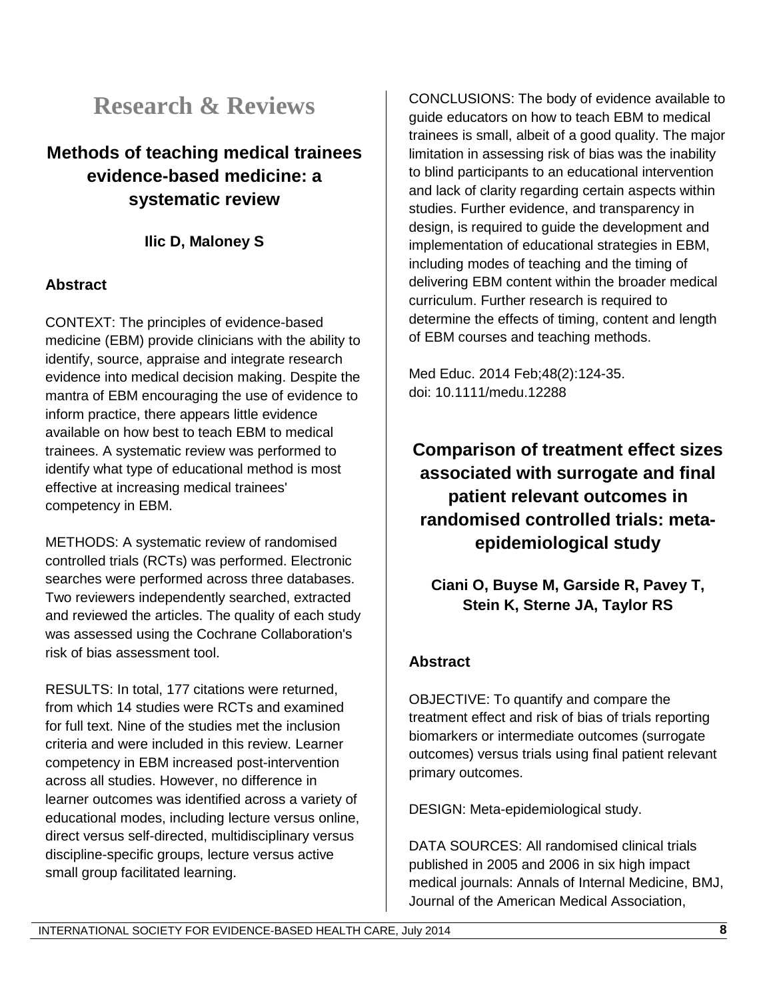# **Research & Reviews**

## **Methods of teaching medical trainees evidence-based medicine: a systematic review**

### **Ilic D, Maloney S**

### **Abstract**

CONTEXT: The principles of evidence-based medicine (EBM) provide clinicians with the ability to identify, source, appraise and integrate research evidence into medical decision making. Despite the mantra of EBM encouraging the use of evidence to inform practice, there appears little evidence available on how best to teach EBM to medical trainees. A systematic review was performed to identify what type of educational method is most effective at increasing medical trainees' competency in EBM.

METHODS: A systematic review of randomised controlled trials (RCTs) was performed. Electronic searches were performed across three databases. Two reviewers independently searched, extracted and reviewed the articles. The quality of each study was assessed using the Cochrane Collaboration's risk of bias assessment tool.

RESULTS: In total, 177 citations were returned, from which 14 studies were RCTs and examined for full text. Nine of the studies met the inclusion criteria and were included in this review. Learner competency in EBM increased post-intervention across all studies. However, no difference in learner outcomes was identified across a variety of educational modes, including lecture versus online, direct versus self-directed, multidisciplinary versus discipline-specific groups, lecture versus active small group facilitated learning.

CONCLUSIONS: The body of evidence available to guide educators on how to teach EBM to medical trainees is small, albeit of a good quality. The major limitation in assessing risk of bias was the inability to blind participants to an educational intervention and lack of clarity regarding certain aspects within studies. Further evidence, and transparency in design, is required to guide the development and implementation of educational strategies in EBM, including modes of teaching and the timing of delivering EBM content within the broader medical curriculum. Further research is required to determine the effects of timing, content and length of EBM courses and teaching methods.

Med Educ. 2014 Feb;48(2):124-35. doi: 10.1111/medu.12288

**Comparison of treatment effect sizes associated with surrogate and final patient relevant outcomes in randomised controlled trials: metaepidemiological study**

**Ciani O, Buyse M, Garside R, Pavey T, Stein K, Sterne JA, Taylor RS**

### **Abstract**

OBJECTIVE: To quantify and compare the treatment effect and risk of bias of trials reporting biomarkers or intermediate outcomes (surrogate outcomes) versus trials using final patient relevant primary outcomes.

DESIGN: Meta-epidemiological study.

DATA SOURCES: All randomised clinical trials published in 2005 and 2006 in six high impact medical journals: Annals of Internal Medicine, BMJ, Journal of the American Medical Association,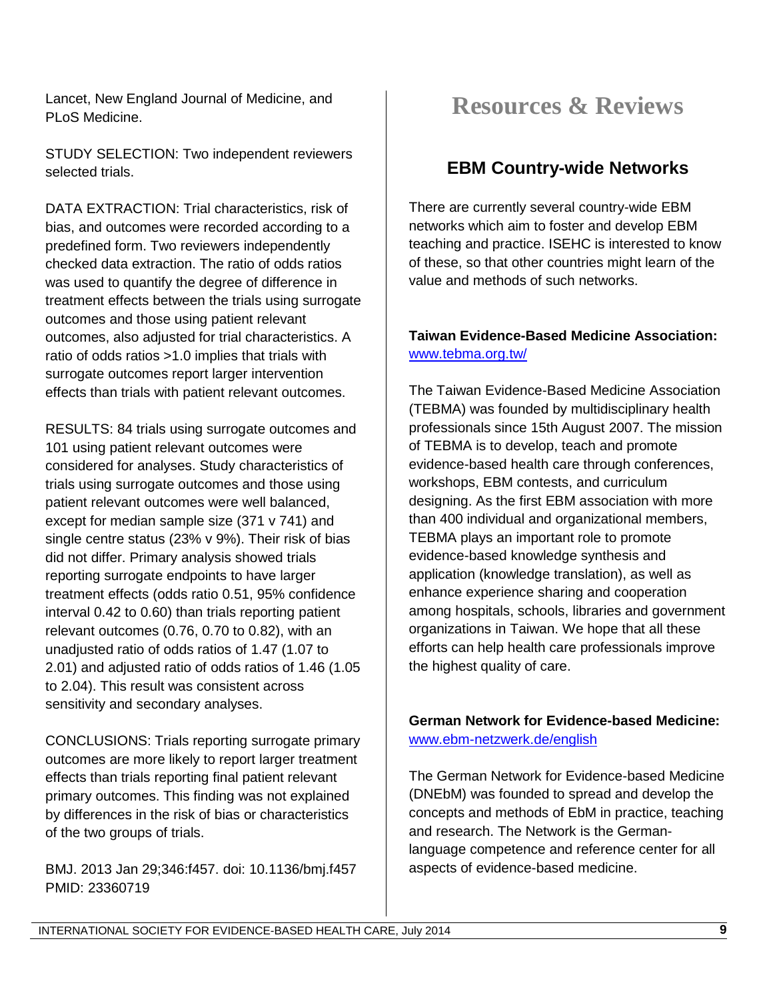Lancet, New England Journal of Medicine, and PLoS Medicine.

STUDY SELECTION: Two independent reviewers selected trials.

DATA EXTRACTION: Trial characteristics, risk of bias, and outcomes were recorded according to a predefined form. Two reviewers independently checked data extraction. The ratio of odds ratios was used to quantify the degree of difference in treatment effects between the trials using surrogate outcomes and those using patient relevant outcomes, also adjusted for trial characteristics. A ratio of odds ratios >1.0 implies that trials with surrogate outcomes report larger intervention effects than trials with patient relevant outcomes.

RESULTS: 84 trials using surrogate outcomes and 101 using patient relevant outcomes were considered for analyses. Study characteristics of trials using surrogate outcomes and those using patient relevant outcomes were well balanced, except for median sample size (371 v 741) and single centre status (23% v 9%). Their risk of bias did not differ. Primary analysis showed trials reporting surrogate endpoints to have larger treatment effects (odds ratio 0.51, 95% confidence interval 0.42 to 0.60) than trials reporting patient relevant outcomes (0.76, 0.70 to 0.82), with an unadjusted ratio of odds ratios of 1.47 (1.07 to 2.01) and adjusted ratio of odds ratios of 1.46 (1.05 to 2.04). This result was consistent across sensitivity and secondary analyses.

CONCLUSIONS: Trials reporting surrogate primary outcomes are more likely to report larger treatment effects than trials reporting final patient relevant primary outcomes. This finding was not explained by differences in the risk of bias or characteristics of the two groups of trials.

BMJ. 2013 Jan 29;346:f457. doi: 10.1136/bmj.f457 PMID: 23360719

# **Resources & Reviews**

## **EBM Country-wide Networks**

There are currently several country-wide EBM networks which aim to foster and develop EBM teaching and practice. ISEHC is interested to know of these, so that other countries might learn of the value and methods of such networks.

#### **Taiwan Evidence-Based Medicine Association:**  [www.tebma.org.tw/](http://www.tebma.org.tw/)

The Taiwan Evidence-Based Medicine Association (TEBMA) was founded by multidisciplinary health professionals since 15th August 2007. The mission of TEBMA is to develop, teach and promote evidence-based health care through conferences, workshops, EBM contests, and curriculum designing. As the first EBM association with more than 400 individual and organizational members, TEBMA plays an important role to promote evidence-based knowledge synthesis and application (knowledge translation), as well as enhance experience sharing and cooperation among hospitals, schools, libraries and government organizations in Taiwan. We hope that all these efforts can help health care professionals improve the highest quality of care.

#### **German Network for Evidence-based Medicine:**  [www.ebm-netzwerk.de/english](http://www.ebm-netzwerk.de/english)

The German Network for Evidence-based Medicine (DNEbM) was founded to spread and develop the concepts and methods of EbM in practice, teaching and research. The Network is the Germanlanguage competence and reference center for all aspects of evidence-based medicine.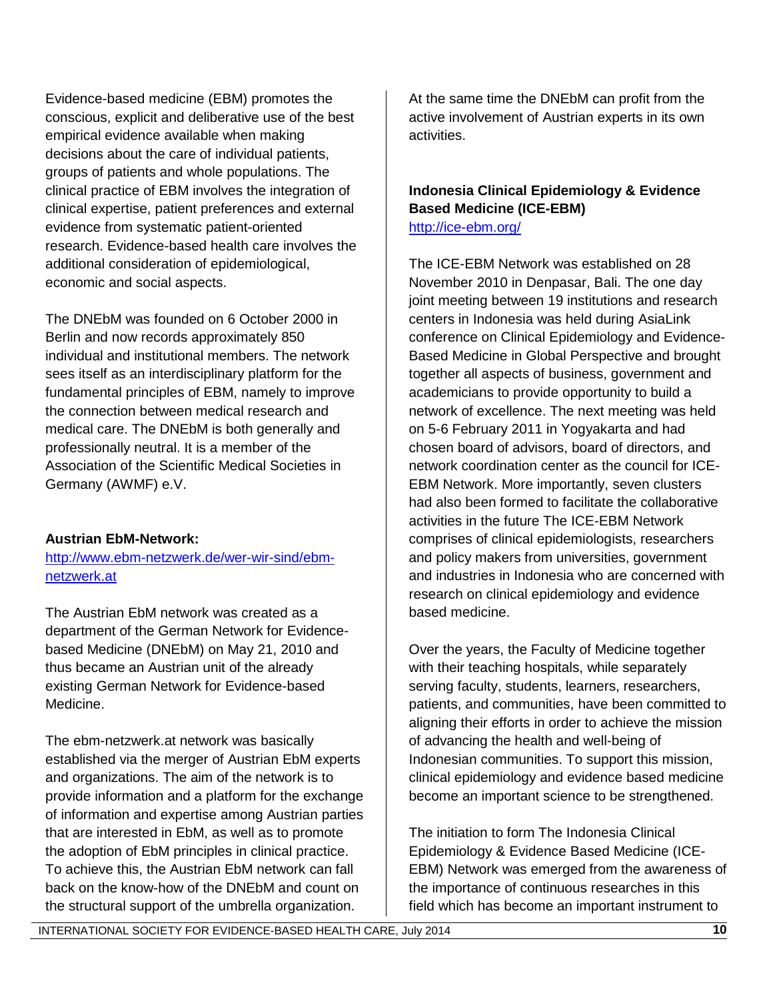Evidence-based medicine (EBM) promotes the conscious, explicit and deliberative use of the best empirical evidence available when making decisions about the care of individual patients, groups of patients and whole populations. The clinical practice of EBM involves the integration of clinical expertise, patient preferences and external evidence from systematic patient-oriented research. Evidence-based health care involves the additional consideration of epidemiological, economic and social aspects.

The DNEbM was founded on 6 October 2000 in Berlin and now records approximately 850 individual and institutional members. The network sees itself as an interdisciplinary platform for the fundamental principles of EBM, namely to improve the connection between medical research and medical care. The DNEbM is both generally and professionally neutral. It is a member of the Association of the Scientific Medical Societies in Germany (AWMF) e.V.

#### **Austrian EbM-Network:**

[http://www.ebm-netzwerk.de/wer-wir-sind/ebm](http://www.ebm-netzwerk.de/wer-wir-sind/ebm-netzwerk.at)[netzwerk.at](http://www.ebm-netzwerk.de/wer-wir-sind/ebm-netzwerk.at) 

The Austrian EbM network was created as a department of the German Network for Evidencebased Medicine (DNEbM) on May 21, 2010 and thus became an Austrian unit of the already existing German Network for Evidence-based Medicine.

The ebm-netzwerk.at network was basically established via the merger of Austrian EbM experts and organizations. The aim of the network is to provide information and a platform for the exchange of information and expertise among Austrian parties that are interested in EbM, as well as to promote the adoption of EbM principles in clinical practice. To achieve this, the Austrian EbM network can fall back on the know-how of the DNEbM and count on the structural support of the umbrella organization.

At the same time the DNEbM can profit from the active involvement of Austrian experts in its own activities.

#### **Indonesia Clinical Epidemiology & Evidence Based Medicine (ICE-EBM)**  <http://ice-ebm.org/>

The ICE-EBM Network was established on 28 November 2010 in Denpasar, Bali. The one day joint meeting between 19 institutions and research centers in Indonesia was held during AsiaLink conference on Clinical Epidemiology and Evidence-Based Medicine in Global Perspective and brought together all aspects of business, government and academicians to provide opportunity to build a network of excellence. The next meeting was held on 5-6 February 2011 in Yogyakarta and had chosen board of advisors, board of directors, and network coordination center as the council for ICE-EBM Network. More importantly, seven clusters had also been formed to facilitate the collaborative activities in the future The ICE-EBM Network comprises of clinical epidemiologists, researchers and policy makers from universities, government and industries in Indonesia who are concerned with research on clinical epidemiology and evidence based medicine.

Over the years, the Faculty of Medicine together with their teaching hospitals, while separately serving faculty, students, learners, researchers, patients, and communities, have been committed to aligning their efforts in order to achieve the mission of advancing the health and well-being of Indonesian communities. To support this mission, clinical epidemiology and evidence based medicine become an important science to be strengthened.

The initiation to form The Indonesia Clinical Epidemiology & Evidence Based Medicine (ICE-EBM) Network was emerged from the awareness of the importance of continuous researches in this field which has become an important instrument to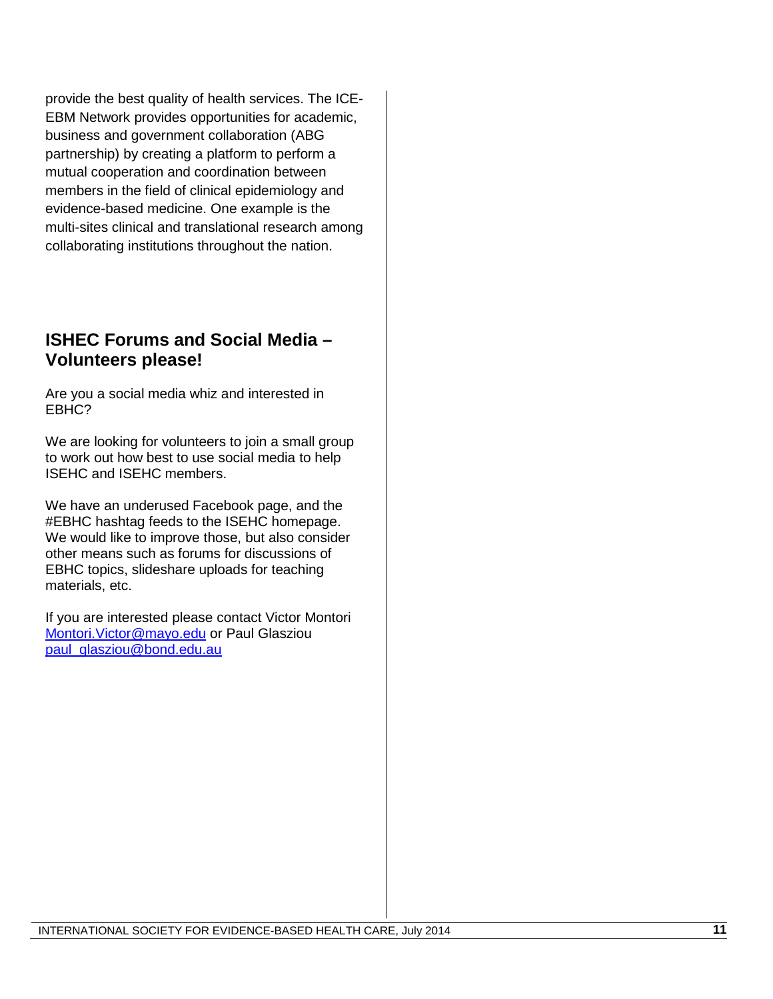provide the best quality of health services. The ICE-EBM Network provides opportunities for academic, business and government collaboration (ABG partnership) by creating a platform to perform a mutual cooperation and coordination between members in the field of clinical epidemiology and evidence-based medicine. One example is the multi-sites clinical and translational research among collaborating institutions throughout the nation.

## **ISHEC Forums and Social Media – Volunteers please!**

Are you a social media whiz and interested in EBHC?

We are looking for volunteers to join a small group to work out how best to use social media to help ISEHC and ISEHC members.

We have an underused Facebook page, and the #EBHC hashtag feeds to the ISEHC homepage. We would like to improve those, but also consider other means such as forums for discussions of EBHC topics, slideshare uploads for teaching materials, etc.

If you are interested please contact Victor Montori [Montori.Victor@mayo.edu](mailto:Montori.Victor@mayo.edu) or Paul Glasziou [paul\\_glasziou@bond.edu.au](mailto:paul_glasziou@bond.edu.au)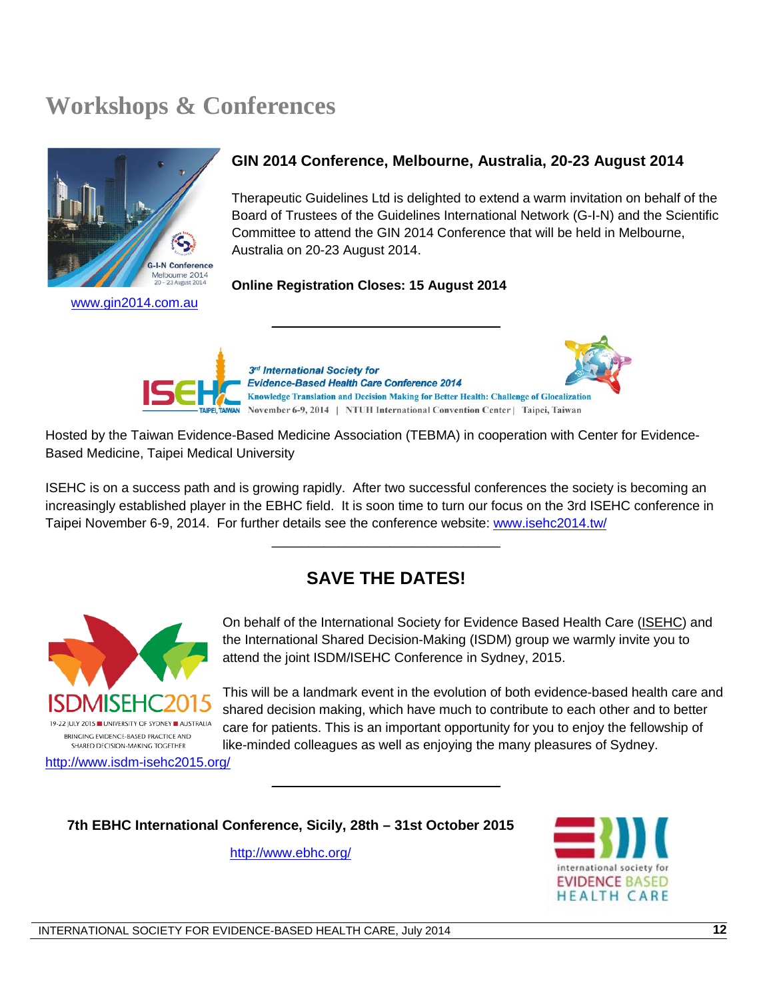# **Workshops & Conferences**



[www.gin2014.com.au](http://www.gin2014.com.au/)

#### **GIN 2014 Conference, Melbourne, Australia, 20-23 August 2014**

Therapeutic Guidelines Ltd is delighted to extend a warm invitation on behalf of the Board of Trustees of the Guidelines International Network (G-I-N) and the Scientific Committee to attend the GIN 2014 Conference that will be held in Melbourne, Australia on 20-23 August 2014.

#### **Online Registration Closes: 15 August 2014**



\_\_\_\_\_\_\_\_\_\_\_\_\_\_\_\_\_\_\_\_\_\_\_\_\_\_\_\_\_\_\_

Hosted by the Taiwan Evidence-Based Medicine Association (TEBMA) in cooperation with Center for Evidence-Based Medicine, Taipei Medical University

ISEHC is on a success path and is growing rapidly. After two successful conferences the society is becoming an increasingly established player in the EBHC field. It is soon time to turn our focus on the 3rd ISEHC conference in Taipei November 6-9, 2014. For further details see the conference website: [www.isehc2014.tw/](http://www.isehc2014.tw/)

## **SAVE THE DATES!**

\_\_\_\_\_\_\_\_\_\_\_\_\_\_\_\_\_\_\_\_\_\_\_\_\_\_\_\_\_\_\_

\_\_\_\_\_\_\_\_\_\_\_\_\_\_\_\_\_\_\_\_\_\_\_\_\_\_\_\_\_\_\_



On behalf of the International Society for Evidence Based Health Care [\(ISEHC\)](http://www.isehc.net/) and the International Shared Decision-Making (ISDM) group we warmly invite you to attend the joint ISDM/ISEHC Conference in Sydney, 2015.

This will be a landmark event in the evolution of both evidence-based health care and shared decision making, which have much to contribute to each other and to better care for patients. This is an important opportunity for you to enjoy the fellowship of like-minded colleagues as well as enjoying the many pleasures of Sydney.

<http://www.isdm-isehc2015.org/>

**7th EBHC International Conference, Sicily, 28th – 31st October 2015**

<http://www.ebhc.org/>

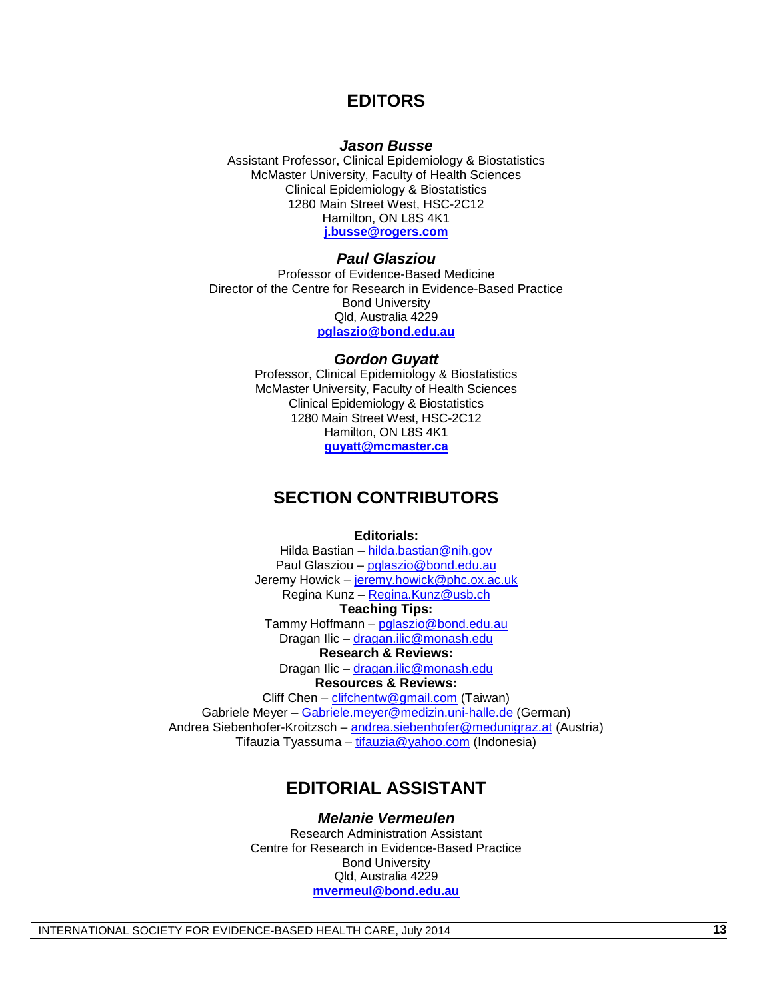#### **EDITORS**

#### *Jason Busse*

Assistant Professor, Clinical Epidemiology & Biostatistics McMaster University, Faculty of Health Sciences Clinical Epidemiology & Biostatistics 1280 Main Street West, HSC-2C12 Hamilton, ON L8S 4K1 **[j.busse@rogers.com](mailto:j.busse@rogers.com)**

#### *Paul Glasziou*

Professor of Evidence-Based Medicine Director of the Centre for Research in Evidence-Based Practice Bond University Qld, Australia 4229 **[pglaszio@bond.edu.au](mailto:pglaszio@bond.edu.au)**

#### *Gordon Guyatt*

Professor, Clinical Epidemiology & Biostatistics McMaster University, Faculty of Health Sciences Clinical Epidemiology & Biostatistics 1280 Main Street West, HSC-2C12 Hamilton, ON L8S 4K1 **[guyatt@mcmaster.ca](mailto:guyatt@mcmaster.ca)**

#### **SECTION CONTRIBUTORS**

**Editorials:**

Hilda Bastian – [hilda.bastian@nih.gov](mailto:hilda.bastian@nih.gov) Paul Glasziou – [pglaszio@bond.edu.au](mailto:pglaszio@bond.edu.au) Jeremy Howick - [jeremy.howick@phc.ox.ac.uk](mailto:jeremy.howick@phc.ox.ac.uk) Regina Kunz – [Regina.Kunz@usb.ch](mailto:Regina.Kunz@usb.ch) **Teaching Tips:** Tammy Hoffmann – [pglaszio@bond.edu.au](mailto:pglaszio@bond.edu.au) Dragan Ilic – [dragan.ilic@monash.edu](mailto:dragan.ilic@monash.edu) **Research & Reviews:** Dragan Ilic – [dragan.ilic@monash.edu](mailto:dragan.ilic@monash.edu) **Resources & Reviews:** Cliff Chen - [clifchentw@gmail.com](mailto:clifchentw@gmail.com) (Taiwan) Gabriele Meyer – [Gabriele.meyer@medizin.uni-halle.de](mailto:Gabriele.meyer@medizin.uni-halle.de) (German) Andrea Siebenhofer-Kroitzsch – [andrea.siebenhofer@medunigraz.at](mailto:andrea.siebenhofer@medunigraz.at) (Austria) Tifauzia Tyassuma – [tifauzia@yahoo.com](mailto:tifauzia@yahoo.com) (Indonesia)

### **EDITORIAL ASSISTANT**

*Melanie Vermeulen* Research Administration Assistant Centre for Research in Evidence-Based Practice Bond University Qld, Australia 4229 **[mvermeul@bond.edu.au](mailto:mvermeul@bond.edu.au)**